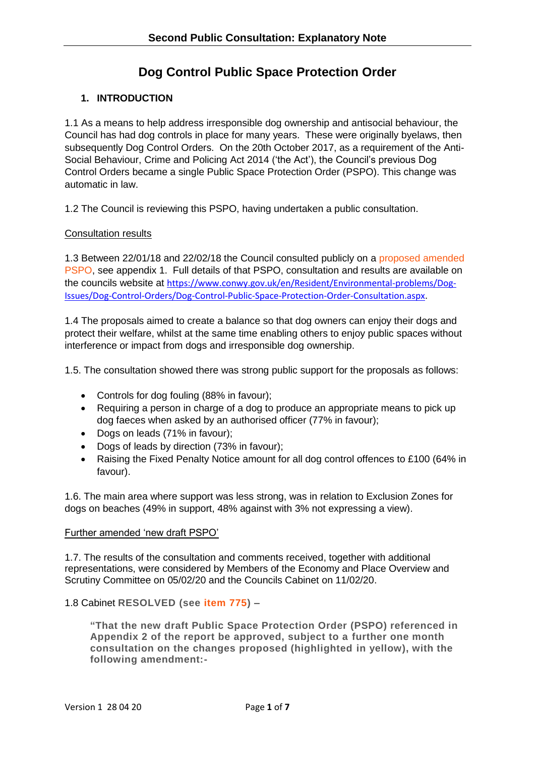# **Dog Control Public Space Protection Order**

# **1. INTRODUCTION**

1.1 As a means to help address irresponsible dog ownership and antisocial behaviour, the Council has had dog controls in place for many years. These were originally byelaws, then subsequently Dog Control Orders. On the 20th October 2017, as a requirement of the Anti-Social Behaviour, Crime and Policing Act 2014 ('the Act'), the Council's previous Dog Control Orders became a single Public Space Protection Order (PSPO). This change was automatic in law.

1.2 The Council is reviewing this PSPO, having undertaken a public consultation.

### Consultation results

1.3 Between 22/01/18 and 22/02/18 the Council consulted publicly on a [proposed amended](https://www.conwy.gov.uk/en/Council/Have-your-say/assets/documents/pspo/Draft-Public-Space-Protection-Order.pdf)  [PSPO,](https://www.conwy.gov.uk/en/Council/Have-your-say/assets/documents/pspo/Draft-Public-Space-Protection-Order.pdf) see appendix 1. Full details of that PSPO, consultation and results are available on the councils website at [https://www.conwy.gov.uk/en/Resident/Environmental-problems/Dog-](https://www.conwy.gov.uk/en/Resident/Environmental-problems/Dog-Issues/Dog-Control-Orders/Dog-Control-Public-Space-Protection-Order-Consultation.aspx)[Issues/Dog-Control-Orders/Dog-Control-Public-Space-Protection-Order-Consultation.aspx](https://www.conwy.gov.uk/en/Resident/Environmental-problems/Dog-Issues/Dog-Control-Orders/Dog-Control-Public-Space-Protection-Order-Consultation.aspx).

1.4 The proposals aimed to create a balance so that dog owners can enjoy their dogs and protect their welfare, whilst at the same time enabling others to enjoy public spaces without interference or impact from dogs and irresponsible dog ownership.

1.5. The consultation showed there was strong public support for the proposals as follows:

- Controls for dog fouling (88% in favour);
- Requiring a person in charge of a dog to produce an appropriate means to pick up dog faeces when asked by an authorised officer (77% in favour);
- Dogs on leads (71% in favour);
- Dogs of leads by direction (73% in favour);
- Raising the Fixed Penalty Notice amount for all dog control offences to £100 (64% in favour).

1.6. The main area where support was less strong, was in relation to Exclusion Zones for dogs on beaches (49% in support, 48% against with 3% not expressing a view).

### Further amended 'new draft PSPO'

1.7. The results of the consultation and comments received, together with additional representations, were considered by Members of the Economy and Place Overview and Scrutiny Committee on 05/02/20 and the Councils Cabinet on 11/02/20.

### 1.8 Cabinet **RESOLVED (see [item 775\)](https://modgoveng.conwy.gov.uk/ieListDocuments.aspx?CId=171&MId=7642&Ver=4) –**

**"That the new draft Public Space Protection Order (PSPO) referenced in Appendix 2 of the report be approved, subject to a further one month consultation on the changes proposed (highlighted in yellow), with the following amendment:-**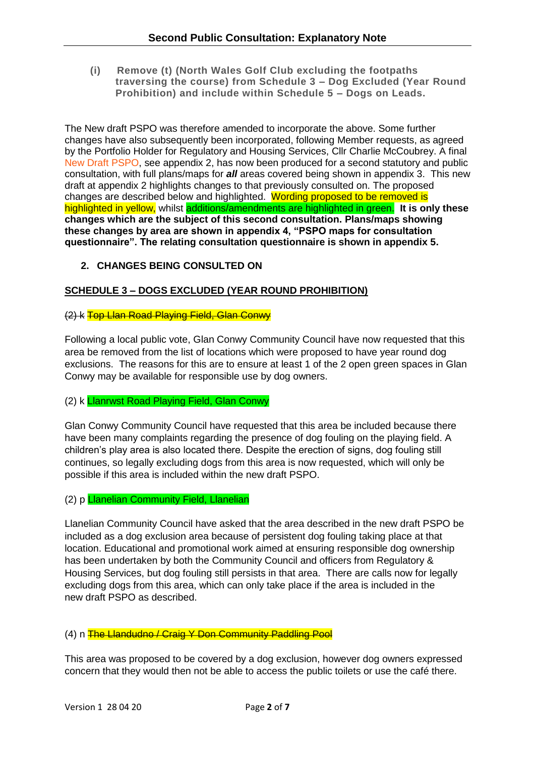**(i) Remove (t) (North Wales Golf Club excluding the footpaths traversing the course) from Schedule 3 – Dog Excluded (Year Round Prohibition) and include within Schedule 5 – Dogs on Leads.**

The New draft PSPO was therefore amended to incorporate the above. Some further changes have also subsequently been incorporated, following Member requests, as agreed by the Portfolio Holder for Regulatory and Housing Services, Cllr Charlie McCoubrey. A final [New Draft PSPO,](file:///S:/REG/Planning%20and%20Environmental%20Enforcement/Housing%20and%20Pollution/Shared/Dog%20Control/PSPOs/Consultation%20work%20from%20Feb%2020) see appendix 2, has now been produced for a second statutory and public consultation, with full plans/maps for *all* areas covered being shown in appendix 3. This new draft at appendix 2 highlights changes to that previously consulted on. The proposed changes are described below and highlighted. Wording proposed to be removed is highlighted in yellow, whilst additions/amendments are highlighted in green. **It is only these changes which are the subject of this second consultation. Plans/maps showing these changes by area are shown in appendix 4, "PSPO maps for consultation questionnaire". The relating consultation questionnaire is shown in appendix 5.**

# **2. CHANGES BEING CONSULTED ON**

### **SCHEDULE 3 – DOGS EXCLUDED (YEAR ROUND PROHIBITION)**

#### (2) k Top Llan Road Playing Field, Glan Conwy

Following a local public vote, Glan Conwy Community Council have now requested that this area be removed from the list of locations which were proposed to have year round dog exclusions. The reasons for this are to ensure at least 1 of the 2 open green spaces in Glan Conwy may be available for responsible use by dog owners.

### (2) k Llanrwst Road Playing Field, Glan Conwy

Glan Conwy Community Council have requested that this area be included because there have been many complaints regarding the presence of dog fouling on the playing field. A children's play area is also located there. Despite the erection of signs, dog fouling still continues, so legally excluding dogs from this area is now requested, which will only be possible if this area is included within the new draft PSPO.

# (2) p Llanelian Community Field, Llanelian

Llanelian Community Council have asked that the area described in the new draft PSPO be included as a dog exclusion area because of persistent dog fouling taking place at that location. Educational and promotional work aimed at ensuring responsible dog ownership has been undertaken by both the Community Council and officers from Regulatory & Housing Services, but dog fouling still persists in that area. There are calls now for legally excluding dogs from this area, which can only take place if the area is included in the new draft PSPO as described.

### (4) n The Llandudno / Craig Y Don Community Paddling Pool

This area was proposed to be covered by a dog exclusion, however dog owners expressed concern that they would then not be able to access the public toilets or use the café there.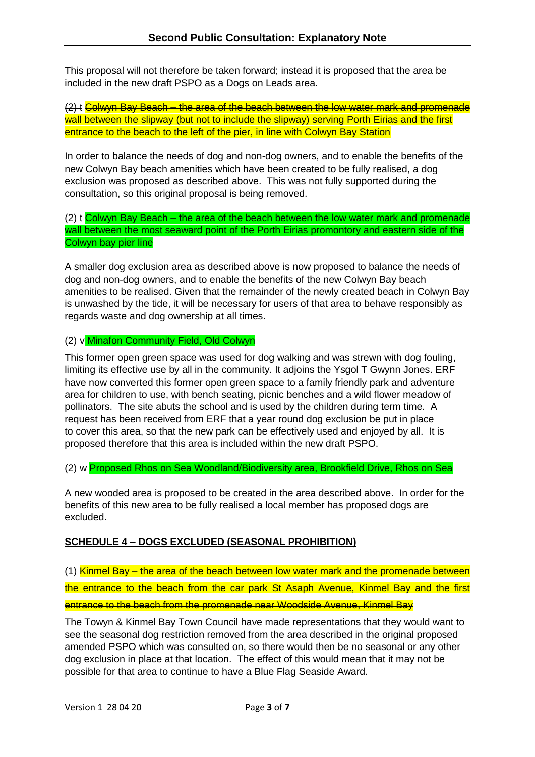This proposal will not therefore be taken forward; instead it is proposed that the area be included in the new draft PSPO as a Dogs on Leads area.

(2) t Colwyn Bay Beach – the area of the beach between the low water mark and promenade wall between the slipway (but not to include the slipway) serving Porth Eirias and the first entrance to the beach to the left of the pier, in line with Colwyn Bay Station

In order to balance the needs of dog and non-dog owners, and to enable the benefits of the new Colwyn Bay beach amenities which have been created to be fully realised, a dog exclusion was proposed as described above. This was not fully supported during the consultation, so this original proposal is being removed.

(2) t Colwyn Bay Beach – the area of the beach between the low water mark and promenade wall between the most seaward point of the Porth Eirias promontory and eastern side of the Colwyn bay pier line

A smaller dog exclusion area as described above is now proposed to balance the needs of dog and non-dog owners, and to enable the benefits of the new Colwyn Bay beach amenities to be realised. Given that the remainder of the newly created beach in Colwyn Bay is unwashed by the tide, it will be necessary for users of that area to behave responsibly as regards waste and dog ownership at all times.

### (2) v Minafon Community Field, Old Colwyn

This former open green space was used for dog walking and was strewn with dog fouling, limiting its effective use by all in the community. It adjoins the Ysgol T Gwynn Jones. ERF have now converted this former open green space to a family friendly park and adventure area for children to use, with bench seating, picnic benches and a wild flower meadow of pollinators. The site abuts the school and is used by the children during term time. A request has been received from ERF that a year round dog exclusion be put in place to cover this area, so that the new park can be effectively used and enjoyed by all. It is proposed therefore that this area is included within the new draft PSPO.

(2) w Proposed Rhos on Sea Woodland/Biodiversity area, Brookfield Drive, Rhos on Sea

A new wooded area is proposed to be created in the area described above. In order for the benefits of this new area to be fully realised a local member has proposed dogs are excluded.

### **SCHEDULE 4 – DOGS EXCLUDED (SEASONAL PROHIBITION)**

(1) Kinmel Bay – the area of the beach between low water mark and the promenade between the entrance to the beach from the car park St Asaph Avenue, Kinmel Bay and the first entrance to the beach from the promenade near Woodside Avenue, Kinmel Bay

The Towyn & Kinmel Bay Town Council have made representations that they would want to see the seasonal dog restriction removed from the area described in the original proposed amended PSPO which was consulted on, so there would then be no seasonal or any other dog exclusion in place at that location. The effect of this would mean that it may not be possible for that area to continue to have a Blue Flag Seaside Award.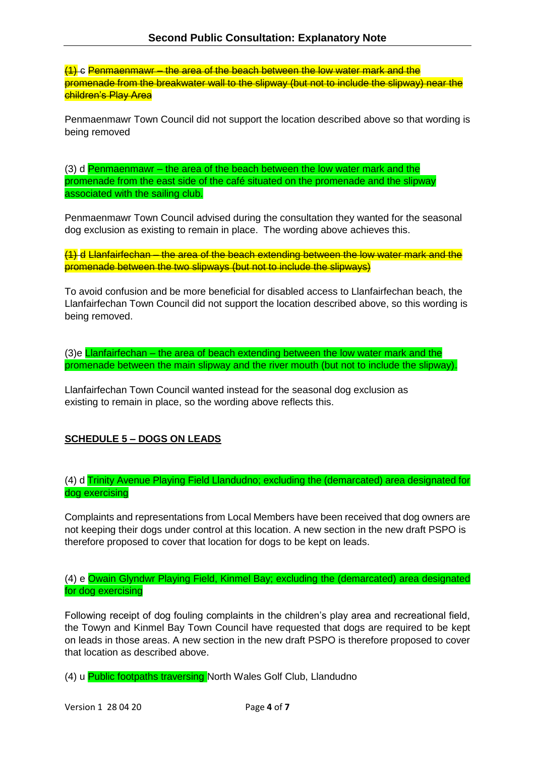(1) c Penmaenmawr – the area of the beach between the low water mark and the promenade from the breakwater wall to the slipway (but not to include the slipway) near the children's Play Area

Penmaenmawr Town Council did not support the location described above so that wording is being removed

 $(3)$  d Penmaenmawr – the area of the beach between the low water mark and the promenade from the east side of the café situated on the promenade and the slipway associated with the sailing club.

Penmaenmawr Town Council advised during the consultation they wanted for the seasonal dog exclusion as existing to remain in place. The wording above achieves this.

(1) d Llanfairfechan – the area of the beach extending between the low water mark and the promenade between the two slipways (but not to include the slipways)

To avoid confusion and be more beneficial for disabled access to Llanfairfechan beach, the Llanfairfechan Town Council did not support the location described above, so this wording is being removed.

(3)e **Llanfairfechan** – the area of beach extending between the low water mark and the promenade between the main slipway and the river mouth (but not to include the slipway).

Llanfairfechan Town Council wanted instead for the seasonal dog exclusion as existing to remain in place, so the wording above reflects this.

# **SCHEDULE 5 – DOGS ON LEADS**

(4) d Trinity Avenue Playing Field Llandudno; excluding the (demarcated) area designated for dog exercising

Complaints and representations from Local Members have been received that dog owners are not keeping their dogs under control at this location. A new section in the new draft PSPO is therefore proposed to cover that location for dogs to be kept on leads.

### (4) e Owain Glyndwr Playing Field, Kinmel Bay; excluding the (demarcated) area designated for dog exercising

Following receipt of dog fouling complaints in the children's play area and recreational field, the Towyn and Kinmel Bay Town Council have requested that dogs are required to be kept on leads in those areas. A new section in the new draft PSPO is therefore proposed to cover that location as described above.

(4) u Public footpaths traversing North Wales Golf Club, Llandudno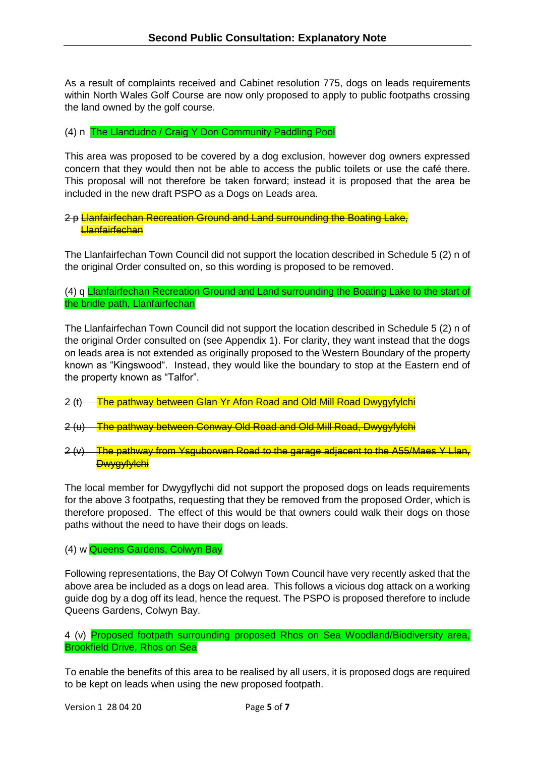As a result of complaints received and Cabinet resolution 775, dogs on leads requirements within North Wales Golf Course are now only proposed to apply to public footpaths crossing the land owned by the golf course.

### (4) n The Llandudno / Craig Y Don Community Paddling Pool

This area was proposed to be covered by a dog exclusion, however dog owners expressed concern that they would then not be able to access the public toilets or use the café there. This proposal will not therefore be taken forward; instead it is proposed that the area be included in the new draft PSPO as a Dogs on Leads area.

### 2 p Llanfairfechan Recreation Ground and Land surrounding the Boating Lake, **Llanfairfechan**

The Llanfairfechan Town Council did not support the location described in Schedule 5 (2) n of the original Order consulted on, so this wording is proposed to be removed.

(4) q Llanfairfechan Recreation Ground and Land surrounding the Boating Lake to the start of the bridle path, Llanfairfechan

The Llanfairfechan Town Council did not support the location described in Schedule 5 (2) n of the original Order consulted on (see Appendix 1). For clarity, they want instead that the dogs on leads area is not extended as originally proposed to the Western Boundary of the property known as "Kingswood". Instead, they would like the boundary to stop at the Eastern end of the property known as "Talfor".

- 2 (t) The pathway between Glan Yr Afon Road and Old Mill Road Dwygyfylchi
- 2 (u) The pathway between Conway Old Road and Old Mill Road, Dwygyfylchi
- 2 (y) The pathway from Ysquborwen Road to the garage adjacent to the A55/Maes Y Llan. **Dwygyfylchi**

The local member for Dwygyflychi did not support the proposed dogs on leads requirements for the above 3 footpaths, requesting that they be removed from the proposed Order, which is therefore proposed. The effect of this would be that owners could walk their dogs on those paths without the need to have their dogs on leads.

#### (4) w Queens Gardens, Colwyn Bay

Following representations, the Bay Of Colwyn Town Council have very recently asked that the above area be included as a dogs on lead area. This follows a vicious dog attack on a working guide dog by a dog off its lead, hence the request. The PSPO is proposed therefore to include Queens Gardens, Colwyn Bay.

4 (v) Proposed footpath surrounding proposed Rhos on Sea Woodland/Biodiversity area, Brookfield Drive, Rhos on Sea

To enable the benefits of this area to be realised by all users, it is proposed dogs are required to be kept on leads when using the new proposed footpath.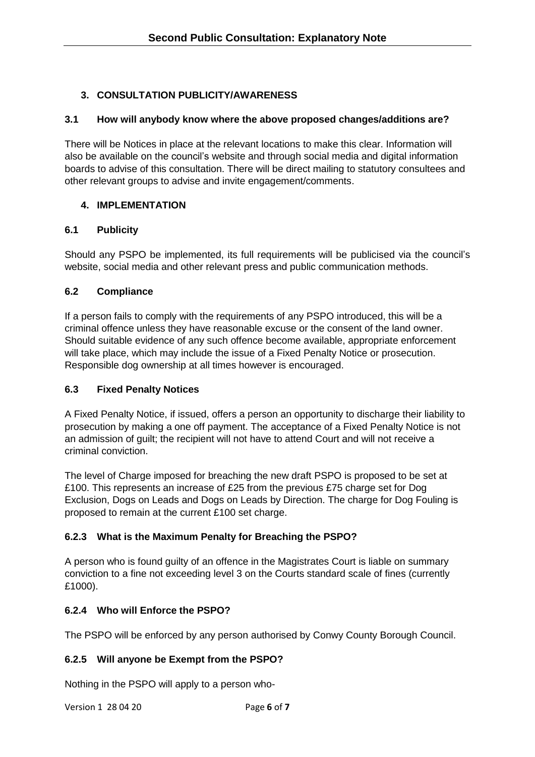# **3. CONSULTATION PUBLICITY/AWARENESS**

### **3.1 How will anybody know where the above proposed changes/additions are?**

There will be Notices in place at the relevant locations to make this clear. Information will also be available on the council's website and through social media and digital information boards to advise of this consultation. There will be direct mailing to statutory consultees and other relevant groups to advise and invite engagement/comments.

### **4. IMPLEMENTATION**

### **6.1 Publicity**

Should any PSPO be implemented, its full requirements will be publicised via the council's website, social media and other relevant press and public communication methods.

### **6.2 Compliance**

If a person fails to comply with the requirements of any PSPO introduced, this will be a criminal offence unless they have reasonable excuse or the consent of the land owner. Should suitable evidence of any such offence become available, appropriate enforcement will take place, which may include the issue of a Fixed Penalty Notice or prosecution. Responsible dog ownership at all times however is encouraged.

# **6.3 Fixed Penalty Notices**

A Fixed Penalty Notice, if issued, offers a person an opportunity to discharge their liability to prosecution by making a one off payment. The acceptance of a Fixed Penalty Notice is not an admission of guilt; the recipient will not have to attend Court and will not receive a criminal conviction.

The level of Charge imposed for breaching the new draft PSPO is proposed to be set at £100. This represents an increase of £25 from the previous £75 charge set for Dog Exclusion, Dogs on Leads and Dogs on Leads by Direction. The charge for Dog Fouling is proposed to remain at the current £100 set charge.

# **6.2.3 What is the Maximum Penalty for Breaching the PSPO?**

A person who is found guilty of an offence in the Magistrates Court is liable on summary conviction to a fine not exceeding level 3 on the Courts standard scale of fines (currently £1000).

# **6.2.4 Who will Enforce the PSPO?**

The PSPO will be enforced by any person authorised by Conwy County Borough Council.

# **6.2.5 Will anyone be Exempt from the PSPO?**

Nothing in the PSPO will apply to a person who-